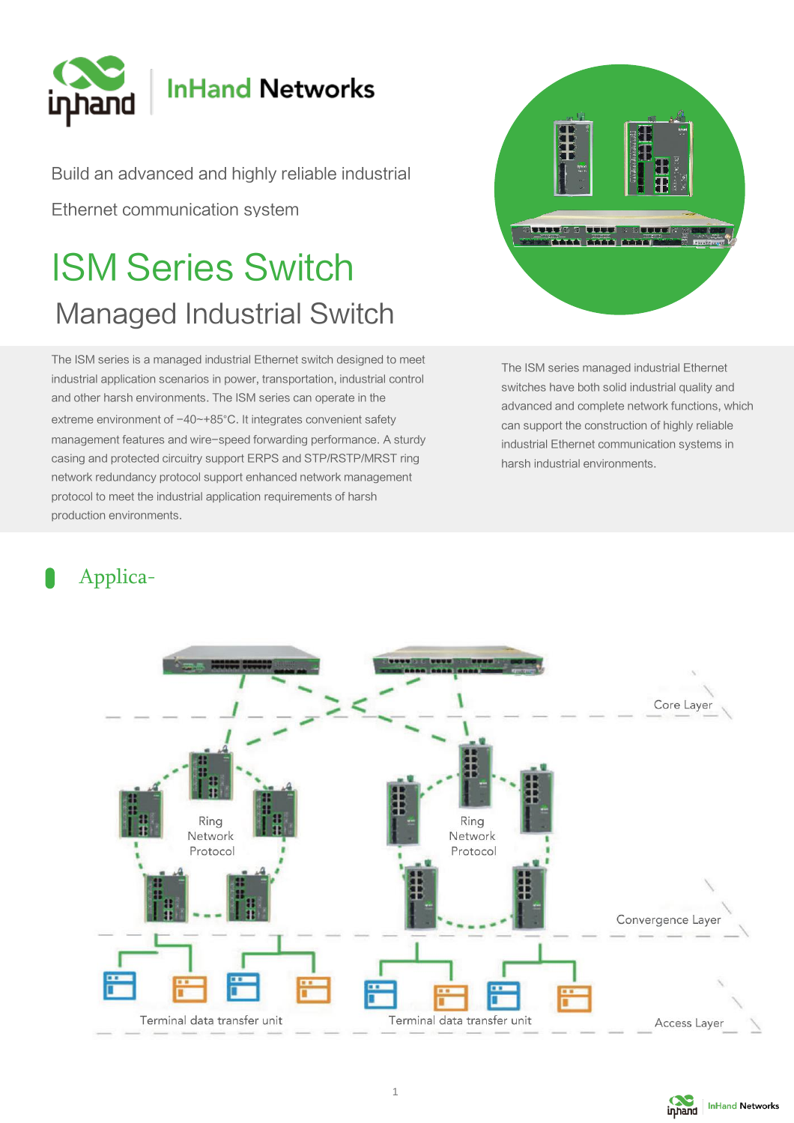

## **InHand Networks**

Build an advanced and highly reliable industrial Ethernet communication system

# ISM Series Switch Managed Industrial Switch

The ISM series is a managed industrial Ethernet switch designed to meet industrial application scenarios in power, transportation, industrial control and other harsh environments. The ISM series can operate in the extreme environment of -40~+85°C. It integrates convenient safety management features and wire-speed forwarding performance. A sturdy casing and protected circuitry support ERPS and STP/RSTP/MRST ring network redundancy protocol support enhanced network management protocol to meet the industrial application requirements of harsh production environments.



The ISM series managed industrial Ethernet switches have both solid industrial quality and advanced and complete network functions, which can support the construction of highly reliable industrial Ethernet communication systems in harsh industrial environments.

### Applica-



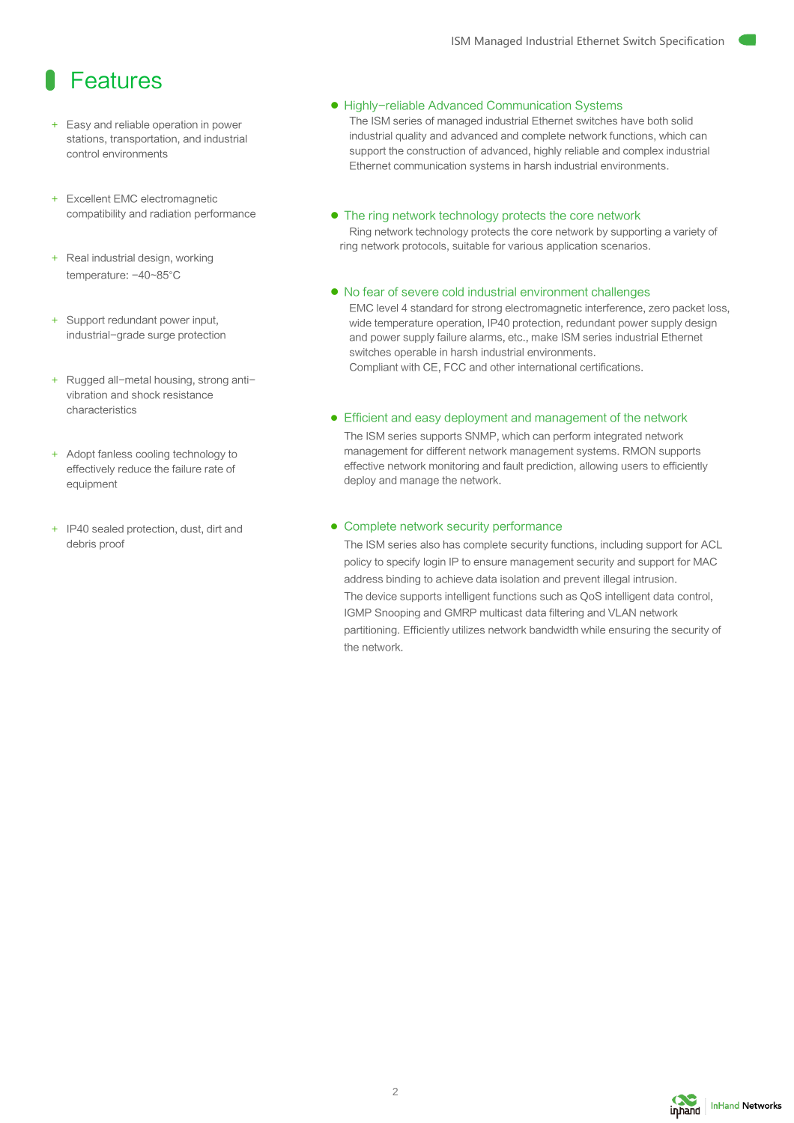### Features

- + Easy and reliable operation in power stations, transportation, and industrial control environments
- + Excellent EMC electromagnetic compatibility and radiation performance
- + Real industrial design, working temperature: -40~85°C
- + Support redundant power input, industrial-grade surge protection
- + Rugged all-metal housing, strong antivibration and shock resistance characteristics
- + Adopt fanless cooling technology to effectively reduce the failure rate of equipment
- + IP40 sealed protection, dust, dirt and debris proof

#### ⚫ Highly-reliable Advanced Communication Systems

The ISM series of managed industrial Ethernet switches have both solid industrial quality and advanced and complete network functions, which can support the construction of advanced, highly reliable and complex industrial Ethernet communication systems in harsh industrial environments.

#### ⚫ The ring network technology protects the core network Ring network technology protects the core network by supporting a variety of ring network protocols, suitable for various application scenarios.

#### ⚫ No fear of severe cold industrial environment challenges

EMC level 4 standard for strong electromagnetic interference, zero packet loss, wide temperature operation, IP40 protection, redundant power supply design and power supply failure alarms, etc., make ISM series industrial Ethernet switches operable in harsh industrial environments. Compliant with CE, FCC and other international certifications.

#### ⚫ Efficient and easy deployment and management of the network

The ISM series supports SNMP, which can perform integrated network management for different network management systems. RMON supports effective network monitoring and fault prediction, allowing users to efficiently deploy and manage the network.

#### ⚫ Complete network security performance

The ISM series also has complete security functions, including support for ACL policy to specify login IP to ensure management security and support for MAC address binding to achieve data isolation and prevent illegal intrusion. The device supports intelligent functions such as QoS intelligent data control, IGMP Snooping and GMRP multicast data filtering and VLAN network partitioning. Efficiently utilizes network bandwidth while ensuring the security of the network.

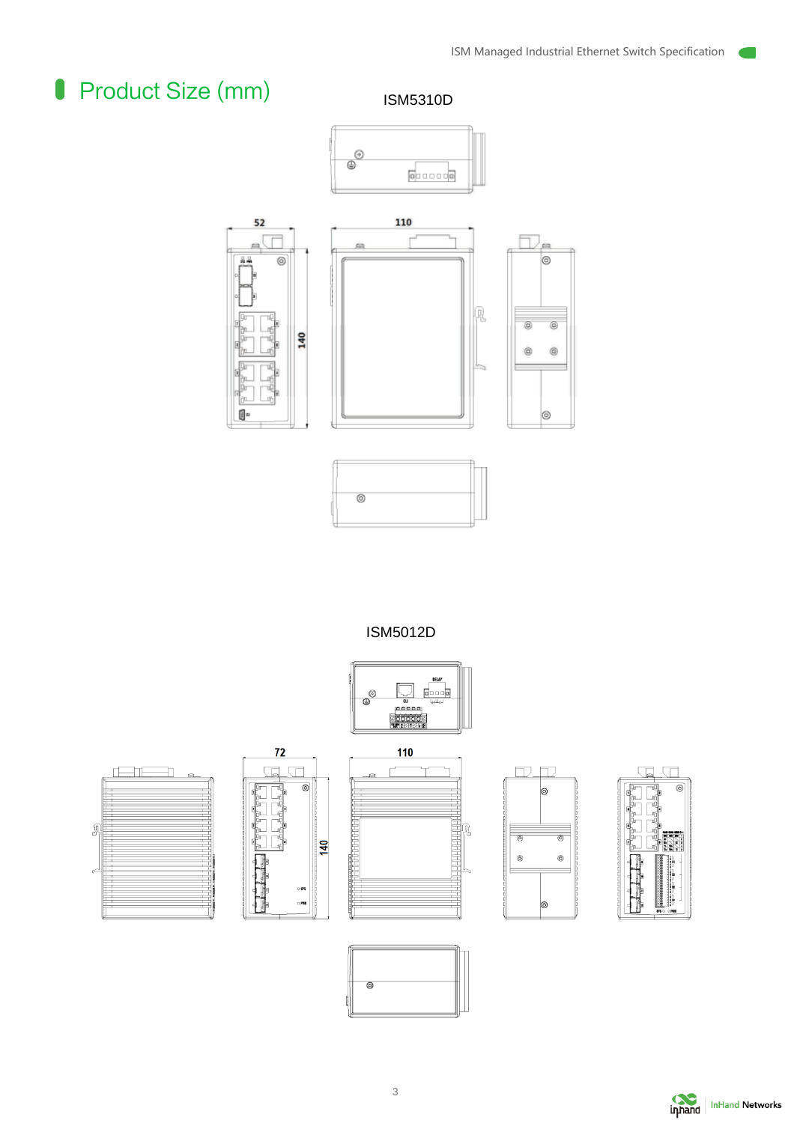### **Product Size (mm)**

ISM5310D





52

 $\Rightarrow$ 





ISM5012D



 $110$ 













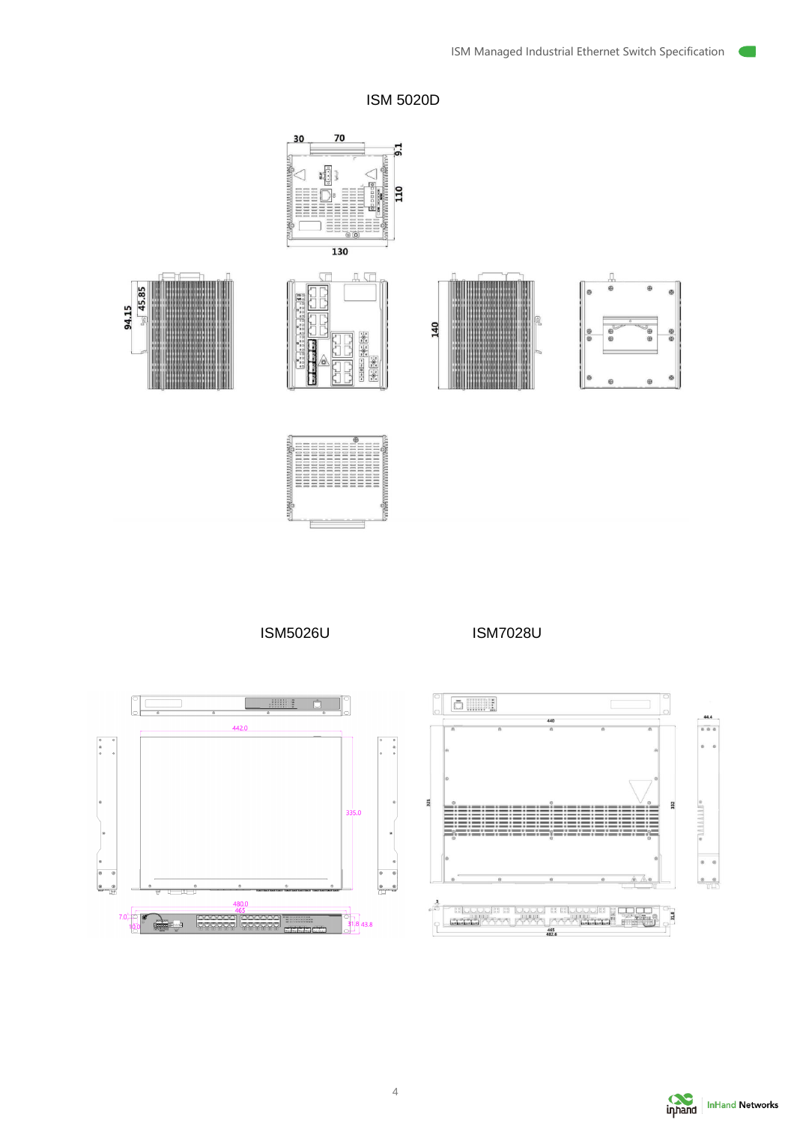







ISM5026U ISM7028U





4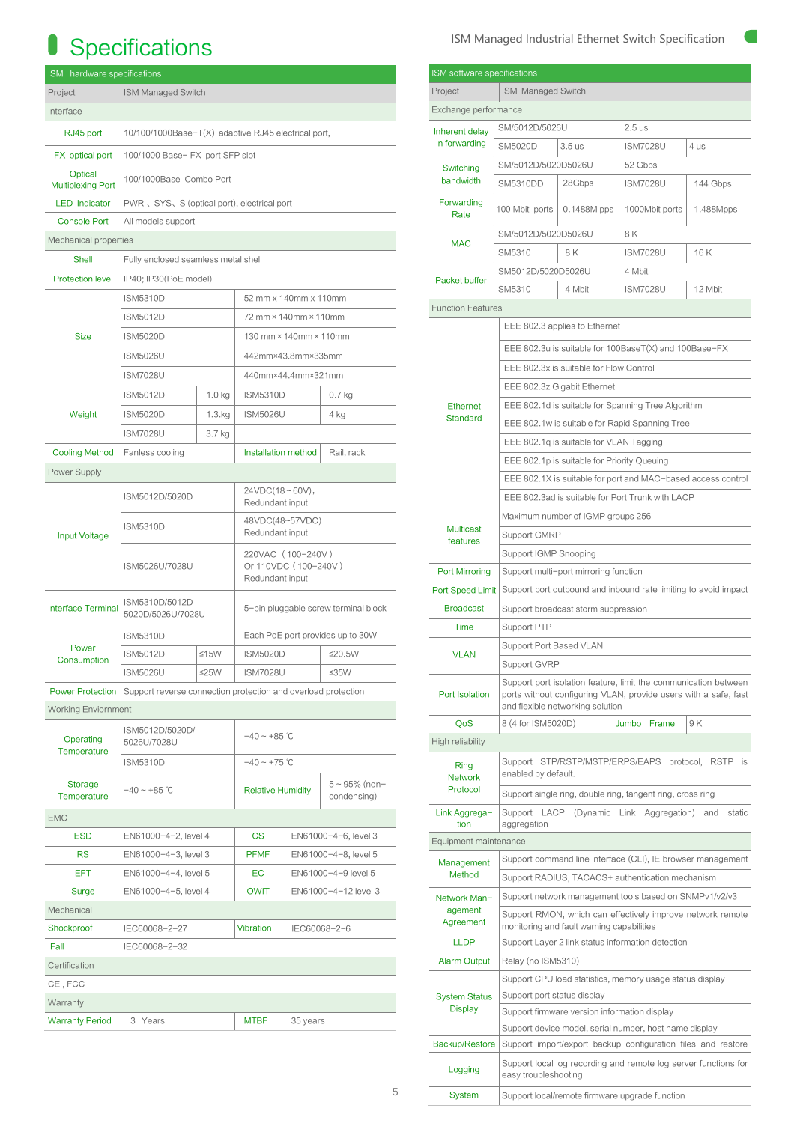### **Specifications**

| ISM hardware specifications         |                                                     |              |                                                               |                           |                                |  |  |  |
|-------------------------------------|-----------------------------------------------------|--------------|---------------------------------------------------------------|---------------------------|--------------------------------|--|--|--|
| Project                             | <b>ISM Managed Switch</b>                           |              |                                                               |                           |                                |  |  |  |
| Interface                           |                                                     |              |                                                               |                           |                                |  |  |  |
| RJ45 port                           | 10/100/1000Base-T(X) adaptive RJ45 electrical port, |              |                                                               |                           |                                |  |  |  |
| FX optical port                     | 100/1000 Base- FX port SFP slot                     |              |                                                               |                           |                                |  |  |  |
| Optical<br><b>Multiplexing Port</b> | 100/1000Base Combo Port                             |              |                                                               |                           |                                |  |  |  |
| <b>LED</b> Indicator                | PWR, SYS, S (optical port), electrical port         |              |                                                               |                           |                                |  |  |  |
| <b>Console Port</b>                 | All models support                                  |              |                                                               |                           |                                |  |  |  |
| Mechanical properties               |                                                     |              |                                                               |                           |                                |  |  |  |
| <b>Shell</b>                        | Fully enclosed seamless metal shell                 |              |                                                               |                           |                                |  |  |  |
| <b>Protection level</b>             | IP40; IP30(PoE model)                               |              |                                                               |                           |                                |  |  |  |
|                                     | <b>ISM5310D</b>                                     |              | 52 mm x 140mm x 110mm                                         |                           |                                |  |  |  |
| <b>Size</b>                         | <b>ISM5012D</b>                                     |              | 72 mm × 140mm × 110mm                                         |                           |                                |  |  |  |
|                                     | <b>ISM5020D</b>                                     |              | 130 mm × 140mm × 110mm•                                       |                           |                                |  |  |  |
|                                     | <b>ISM5026U</b>                                     |              | 442mm×43.8mm×335mm                                            |                           |                                |  |  |  |
|                                     | <b>ISM7028U</b>                                     |              | 440mm×44.4mm×321mm                                            |                           |                                |  |  |  |
|                                     | <b>ISM5012D</b>                                     |              | <b>ISM5310D</b>                                               |                           |                                |  |  |  |
|                                     |                                                     | 1.0 kg       |                                                               |                           | 0.7 <sub>kg</sub>              |  |  |  |
| Weight                              | <b>ISM5020D</b>                                     | $1.3$ . $kg$ | <b>ISM5026U</b>                                               |                           | 4 kg                           |  |  |  |
|                                     | <b>ISM7028U</b>                                     | 3.7 kg       |                                                               |                           |                                |  |  |  |
| <b>Cooling Method</b>               | Fanless cooling                                     |              | Installation method                                           |                           | Rail, rack                     |  |  |  |
| Power Supply                        |                                                     |              |                                                               |                           |                                |  |  |  |
| <b>Input Voltage</b>                | ISM5012D/5020D                                      |              | $24VDC(18-60V),$<br>Redundant input                           |                           |                                |  |  |  |
|                                     | <b>ISM5310D</b>                                     |              | 48VDC(48~57VDC)<br>Redundant input                            |                           |                                |  |  |  |
|                                     | ISM5026U/7028U                                      |              | 220VAC (100-240V)<br>Or 110VDC (100-240V)<br>Redundant input  |                           |                                |  |  |  |
| <b>Interface Terminal</b>           | ISM5310D/5012D<br>5020D/5026U/7028U                 |              | 5-pin pluggable screw terminal block                          |                           |                                |  |  |  |
|                                     | <b>ISM5310D</b>                                     |              | Each PoE port provides up to 30W                              |                           |                                |  |  |  |
| Power<br>Consumption                | <b>ISM5012D</b>                                     | ≤15 $W$      |                                                               | <b>ISM5020D</b><br>≤20.5W |                                |  |  |  |
|                                     | <b>ISM5026U</b>                                     | ≤25W         | <b>ISM7028U</b>                                               |                           | ≤35W                           |  |  |  |
| <b>Power Protection</b>             |                                                     |              | Support reverse connection protection and overload protection |                           |                                |  |  |  |
| <b>Working Enviornment</b>          |                                                     |              |                                                               |                           |                                |  |  |  |
| Operating<br>Temperature            | ISM5012D/5020D/<br>5026U/7028U                      |              | $-40 - +85$ °C                                                |                           |                                |  |  |  |
|                                     | <b>ISM5310D</b>                                     |              | $-40 - +75$ °C                                                |                           |                                |  |  |  |
| Storage<br>Temperature              | $-40 - +85$ °C                                      |              | <b>Relative Humidity</b>                                      |                           | $5 - 95%$ (non-<br>condensing) |  |  |  |
| <b>EMC</b>                          |                                                     |              |                                                               |                           |                                |  |  |  |
| ESD                                 | EN61000-4-2, level 4                                |              | <b>CS</b>                                                     | EN61000-4-6, level 3      |                                |  |  |  |
| <b>RS</b>                           | EN61000-4-3, level 3                                |              | <b>PFMF</b>                                                   | EN61000-4-8, level 5      |                                |  |  |  |
| EFT                                 | EN61000-4-4, level 5                                |              | EС                                                            | EN61000-4-9 level 5       |                                |  |  |  |
| Surge                               | EN61000-4-5, level 4                                |              | <b>OWIT</b>                                                   | EN61000-4-12 level 3      |                                |  |  |  |
| Mechanical                          |                                                     |              |                                                               |                           |                                |  |  |  |
| Shockproof                          | Vibration<br>IEC60068-2-27<br>IEC60068-2-6          |              |                                                               |                           |                                |  |  |  |
| Fall                                | IEC60068-2-32                                       |              |                                                               |                           |                                |  |  |  |
| Certification                       |                                                     |              |                                                               |                           |                                |  |  |  |
| CE, FCC                             |                                                     |              |                                                               |                           |                                |  |  |  |
| Warranty                            |                                                     |              |                                                               |                           |                                |  |  |  |
| <b>Warranty Period</b>              | 3 Years                                             | <b>MTBF</b>  | 35 years                                                      |                           |                                |  |  |  |

#### ISM software specifications Project **ISM Managed Switch** Exchange performance Inherent delay in forwarding ISM/5012D/5026U 2.5 us ISM5020D 3.5 us ISM7028U 4 us **Switching** bandwidth ISM/5012D/5020D5026U 52 Gbps ISM5310DD 28Gbps ISM7028U 144 Gbps Forwarding Rate 100 Mbit ports 0.1488M pps 1000Mbit ports 1.488Mpps MAC ISM/5012D/5020D5026U 8 K ISM5310 8 K ISM7028U 16 K Packet buffer ISM5012D/5020D5026U 4 Mbit ISM5310 4 Mbit ISM7028U 12 Mbit Function Features Ethernet **Standard** IEEE 802.3 applies to Ethernet IEEE 802.3u is suitable for 100BaseT(X) and 100Base-FX IEEE 802.3x is suitable for Flow Control IEEE 802.3z Gigabit Ethernet IEEE 802.1d is suitable for Spanning Tree Algorithm IEEE 802.1w is suitable for Rapid Spanning Tree IEEE 802.1q is suitable for VLAN Tagging IEEE 802.1p is suitable for Priority Queuing IEEE 802.1X is suitable for port and MAC-based access control IEEE 802.3ad is suitable for Port Trunk with LACP **Multicast** features Maximum number of IGMP groups 256 Support GMRP Support IGMP Snooping Port Mirroring Support multi-port mirroring function Port Speed Limit Support port outbound and inbound rate limiting to avoid impact Support broadcast storm suppression Broadcast **Time** Support PTP VLAN Support Port Based VLAN Support GVRP Port Isolation Support port isolation feature, limit the communication between ports without configuring VLAN, provide users with a safe, fast and flexible networking solution QoS 8 (4 for ISM5020D) Jumbo•Frame 9 K High reliability Ring Network Protocol Support STP/RSTP/MSTP/ERPS/EAPS protocol, RSTP is enabled by default. Support single ring, double ring, tangent ring, cross ring Link Aggregation Support LACP (Dynamic Link Aggregation) and static aggregation Equipment maintenance Management Method Support command line interface (CLI), IE browser management Support RADIUS, TACACS+ authentication mechanism Network Management Agreement Support network management tools based on SNMPv1/v2/v3 Support RMON, which can effectively improve network remote monitoring and fault warning capabilities LLDP Support Layer 2 link status information detection Alarm Output Relay (no ISM5310) System Status **Display** Support CPU load statistics, memory usage status display Support port status display Support firmware version information display Support device model, serial number, host name display Backup/Restore Support import/export backup configuration files and restore Logging Support local log recording and remote log server functions for

ISM Managed Industrial Ethernet Switch Specification

**System** 

easy troubleshooting

Support local/remote firmware upgrade function